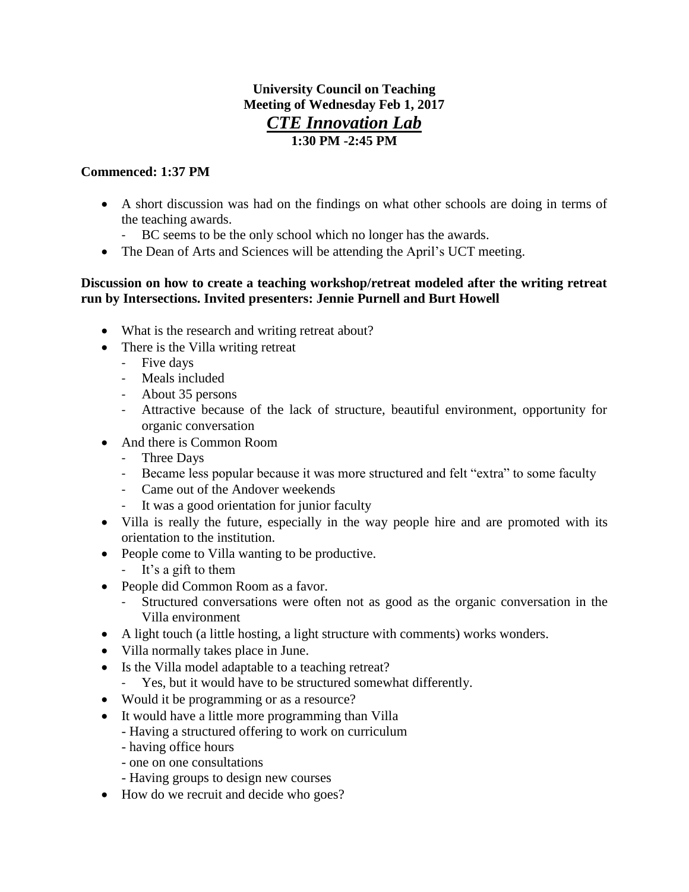## **University Council on Teaching Meeting of Wednesday Feb 1, 2017** *CTE Innovation Lab* **1:30 PM -2:45 PM**

## **Commenced: 1:37 PM**

- A short discussion was had on the findings on what other schools are doing in terms of the teaching awards.
	- BC seems to be the only school which no longer has the awards.
- The Dean of Arts and Sciences will be attending the April's UCT meeting.

## **Discussion on how to create a teaching workshop/retreat modeled after the writing retreat run by Intersections. Invited presenters: Jennie Purnell and Burt Howell**

- What is the research and writing retreat about?
- There is the Villa writing retreat
	- Five days
	- Meals included
	- About 35 persons
	- Attractive because of the lack of structure, beautiful environment, opportunity for organic conversation
- And there is Common Room
	- Three Days
	- Became less popular because it was more structured and felt "extra" to some faculty
	- Came out of the Andover weekends
	- It was a good orientation for junior faculty
- Villa is really the future, especially in the way people hire and are promoted with its orientation to the institution.
- People come to Villa wanting to be productive.
	- It's a gift to them
- People did Common Room as a favor.
	- Structured conversations were often not as good as the organic conversation in the Villa environment
- A light touch (a little hosting, a light structure with comments) works wonders.
- Villa normally takes place in June.
- Is the Villa model adaptable to a teaching retreat?
	- Yes, but it would have to be structured somewhat differently.
- Would it be programming or as a resource?
- It would have a little more programming than Villa
	- Having a structured offering to work on curriculum
	- having office hours
	- one on one consultations
	- Having groups to design new courses
- How do we recruit and decide who goes?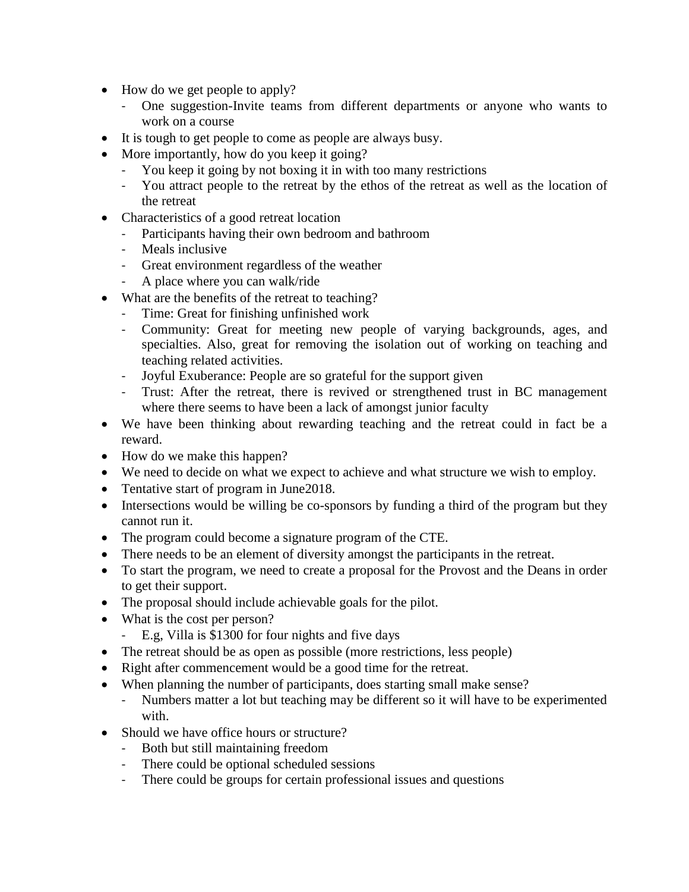- How do we get people to apply?
	- One suggestion-Invite teams from different departments or anyone who wants to work on a course
- It is tough to get people to come as people are always busy.
- More importantly, how do you keep it going?
	- You keep it going by not boxing it in with too many restrictions
	- You attract people to the retreat by the ethos of the retreat as well as the location of the retreat
- Characteristics of a good retreat location
	- Participants having their own bedroom and bathroom
	- Meals inclusive
	- Great environment regardless of the weather
	- A place where you can walk/ride
- What are the benefits of the retreat to teaching?
	- Time: Great for finishing unfinished work
	- Community: Great for meeting new people of varying backgrounds, ages, and specialties. Also, great for removing the isolation out of working on teaching and teaching related activities.
	- Joyful Exuberance: People are so grateful for the support given
	- Trust: After the retreat, there is revived or strengthened trust in BC management where there seems to have been a lack of amongst junior faculty
- We have been thinking about rewarding teaching and the retreat could in fact be a reward.
- How do we make this happen?
- We need to decide on what we expect to achieve and what structure we wish to employ.
- Tentative start of program in June 2018.
- Intersections would be willing be co-sponsors by funding a third of the program but they cannot run it.
- The program could become a signature program of the CTE.
- There needs to be an element of diversity amongst the participants in the retreat.
- To start the program, we need to create a proposal for the Provost and the Deans in order to get their support.
- The proposal should include achievable goals for the pilot.
- What is the cost per person?
	- E.g, Villa is \$1300 for four nights and five days
- The retreat should be as open as possible (more restrictions, less people)
- Right after commencement would be a good time for the retreat.
- When planning the number of participants, does starting small make sense?
	- Numbers matter a lot but teaching may be different so it will have to be experimented with.
- Should we have office hours or structure?
	- Both but still maintaining freedom
	- There could be optional scheduled sessions
	- There could be groups for certain professional issues and questions